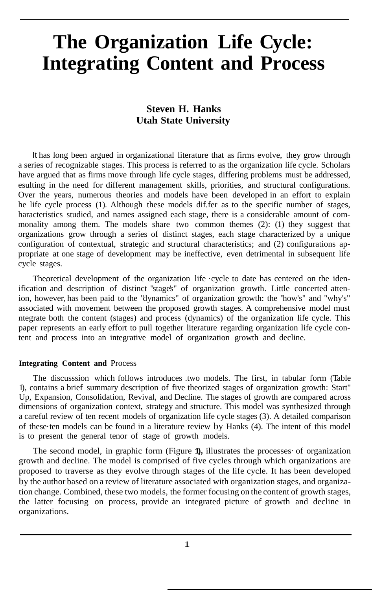# **The Organization Life Cycle: Integrating Content and Process**

## **Steven H. Hanks Utah State University**

It has long been argued in organizational literature that as firms evolve, they grow through a series of recognizable stages. This process is referred to as the organization life cycle. Scholars have argued that as firms move through life cycle stages, differing problems must be addressed, esulting in the need for different management skills, priorities, and structural configurations. Over the years, numerous theories and models have been developed in an effort to explain he life cycle process (1). Although these models dif.fer as to the specific number of stages, haracteristics studied, and names assigned each stage, there is a considerable amount of commonality among them. The models share two common themes (2): (1) they suggest that organizations grow through a series of distinct stages, each stage characterized by a unique configuration of contextual, strategic and structural characteristics; and (2) configurations appropriate at one stage of development may be ineffective, even detrimental in subsequent life cycle stages.

Theoretical development of the organization life  $\cdot$ cycle to date has centered on the idenification and description of distinct "stage's" of organization growth. Little concerted attenion, however, has been paid to the "dynamics" of organization growth: the ''how's" and "why's" associated with movement between the proposed growth stages. A comprehensive model must ntegrate both the content (stages) and process (dynamics) of the organization life cycle. This paper represents an early effort to pull together literature regarding organization life cycle content and process into an integrative model of organization growth and decline.

### **Integrating Content and** Process

The discusssion which follows introduces .two models. The first, in tabular form (Table 1), contains a brief summary description of five theorized stages of organization growth: Start" Up, Expansion, Consolidation, Revival, and Decline. The stages of growth are compared across dimensions of organization context, strategy and structure. This model was synthesized through a careful review of ten recent models of organization life cycle stages (3). A detailed comparison of these·ten models can be found in a literature review by Hanks (4). The intent of this model is to present the general tenor of stage of growth models.

The second model, in graphic form (Figure **1),** illustrates the processes· of organization growth and decline. The model is comprised of five cycles through which organizations are proposed to traverse as they evolve through stages of the life cycle. It has been developed by the author based on a review of literature associated with organization stages, and organization change. Combined, these two models, the former focusing on the content of growth stages, the latter focusing on process, provide an integrated picture of growth and decline in organizations.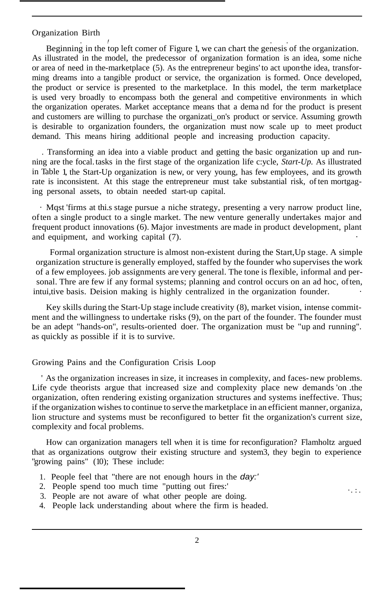#### Organization Birth

. *!* . . Beginning in the top left comer of Figure 1, we can chart the genesis of the organization. As illustrated in the model, the predecessor of organization formation is an idea, some niche or area of need in the-marketplace (5). As the entrepreneur begins' to act upon·the idea, transforming dreams into a tangible product or service, the organization is formed. Once developed, the product or service is presented to the marketplace. In this model, the term marketplace is used very broadly to encompass both the general and competitive environments in which the organization operates. Market acceptance means that a dema nd for the product is present and customers are willing to purchase the organizati\_on's product or service. Assuming growth is desirable to organization founders, the organization must now scale up to meet product demand. This means hiring additional people and increasing production capacity.

. Transforming an idea into a viable product and getting the basic organization up and running are the focal.tasks in the first stage of the organization life c:ycle, *Start-Up.* As illustrated in Table 1, the Start-Up organization is new, or very young, has few employees, and its growth rate is inconsistent. At this stage the entrepreneur must take substantial risk, of ten mortgaging personal assets, to obtain needed start-up capital.

· Mqst 'firms at thi.s stage pursue a niche strategy, presenting a very narrow product line, often a single product to a single market. The new venture generally undertakes major and frequent product innovations (6). Major investments are made in product development, plant and equipment, and working capital  $(7)$ .

Formal organization structure is almost non-existent during the Start,Up stage. A simple organization structure is generally employed, staffed by the founder who supervises the work of a few employees. job assignments are very general. The tone is flexible, informal and personal. Thre are few if any formal systems; planning and control occurs on an ad hoc, often, intui, tive basis. Deision making is highly centralized in the organization founder.

Key skills during the Start-Up stage include creativity (8), market vision, intense commitment and the willingness to undertake risks (9), on the part of the founder. The founder must be an adept "hands-on'', results-oriented doer. The organization must be "up and running''. as quickly as possible if it is to survive.

### Growing Pains and the Configuration Crisis Loop

' As the organization increases in size, it increases in complexity, and faces- new problems. Life cyde theorists argue that increased size and complexity place new demands 'on .the organization, often rendering existing organization structures and systems ineffective. Thus; if the organization wishes to continue to serve the marketplace in an efficient manner, organiza, lion structure and systems must be reconfigured to better fit the organization's current size, complexity and focal problems.

How can organization managers tell when it is time for reconfiguration? Flamholtz argued that as organizations outgrow their existing structure and system3, they begin to experience "growing pains" (10); These include:

 $\cdot$  . : .

- 1. People feel that "there are not enough hours in the *day:'*
- 2. People spend too much time "putting out fires:'
- 3. People are not aware of what other people are doing.
- 4. People lack understanding about where the firm is headed.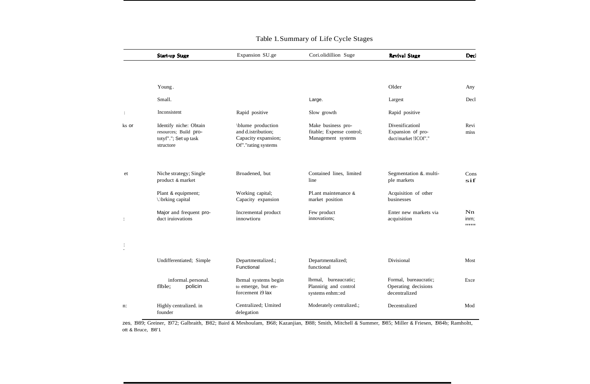|                | <b>Start-up Stage</b>                                                                 | Expansion SU.ge                                                                       | Cori.olidillion Suge                                                  | <b>Revival Stage</b>                                          | Decl                   |
|----------------|---------------------------------------------------------------------------------------|---------------------------------------------------------------------------------------|-----------------------------------------------------------------------|---------------------------------------------------------------|------------------------|
|                |                                                                                       |                                                                                       |                                                                       |                                                               |                        |
|                | Young.                                                                                |                                                                                       |                                                                       | Older                                                         | Any                    |
|                | Small.                                                                                |                                                                                       | Large.                                                                | Largest                                                       | Decl                   |
| $\ddot{\cdot}$ | Inconsistent                                                                          | Rapid positive                                                                        | Slow growth                                                           | Rapid positive                                                |                        |
| ks or          | Identify niche: Obtain<br>resources; Build pro-<br>totyf"."; Set up task<br>structore | \blume production<br>and d.istribution;<br>Capacity expansion;<br>Of"."rating systems | Make business pro-<br>fitable; Expense control;<br>Management systems | Divenificationl<br>Expansion of pro-<br>duct/market !ICOf"."  | Revi<br>miss           |
| et             | Niche strategy; Single<br>product & market                                            | Broadened, but                                                                        | Contained lines, limited<br>line                                      | Segmentation & multi-<br>ple markets                          | Cons<br>sif            |
|                | Plant & equipment;<br>\.\brking capital                                               | Working capital;<br>Capacity expansion                                                | Pl.ant maintenance &<br>market position                               | Acquisition of other<br>businesses                            |                        |
| t              | Major and frequent pro-<br>duct iruiovations                                          | Incremental product<br>innowtioru                                                     | Few product<br>innovations;                                           | Enter new markets via<br>acquisition                          | Nn.<br>inrn;<br>,,,,,, |
|                |                                                                                       |                                                                                       |                                                                       |                                                               |                        |
|                | Undifferentiated; Simple                                                              | Departmentalized.;<br>Functional                                                      | Departmentalized;<br>functional                                       | Divisional                                                    | Most                   |
|                | informal. personal.<br>policin<br>flble;                                              | Ibrmal systems begin<br>to emerge, but en-<br>forcement i9 lax                        | lbrmal, bureaucratic;<br>Plannirig and control<br>systems enhm::ed    | Formal, bureaucratic;<br>Operating decisions<br>decentralized | Exce                   |
| n:             | Highly centralized. in<br>founder                                                     | Centralized; Umited<br>delegation                                                     | Moderately centralized.;                                              | Decentralized                                                 | Mod                    |

### Table 1.Summary of Life Cycle Stages

zes, 1989; Greiner, 1972; Galbraith, 1982; Baird & Meshoulam, 1968; Kazanjian, 1988; Smith, Mitchell & Summer, 1985; Miller & Friesen, 1984b; Ramholtt, ott & Bruce, 198'1.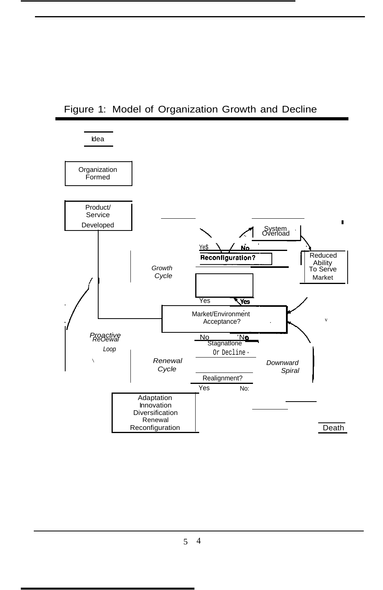# Figure 1: Model of Organization Growth and Decline



5 4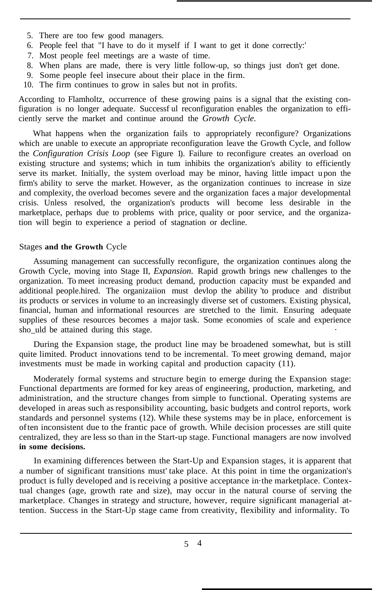- 5. There are too few good managers.
- 6. People feel that "I have to do it myself if I want to get it done correctly:'
- 7. Most people feel meetings are a waste of time.
- 8. When plans are made, there is very little follow-up, so things just don't get done.
- 9. Some people feel insecure about their place in the firm.
- 10. The firm continues to grow in sales but not in profits.

According to Flamholtz, occurrence of these growing pains is a signal that the existing configuration is no longer adequate. Successf ul reconfiguration enables the organization to efficiently serve the market and continue around the *Growth Cycle.*

What happens when the organization fails to appropriately reconfigure? Organizations which are unable to execute an appropriate reconfiguration leave the Growth Cycle, and follow the *Configuration Crisis Loop* (see Figure 1). Failure to reconfigure creates an overload on existing structure and systems; which in tum inhibits the organization's ability to efficiently serve its market. Initially, the system overload may be minor, having little impact u pon the firm's ability to serve the market. However, as the organization continues to increase in size and complexity, the overload becomes severe and the organization faces a major developmental crisis. Unless resolved, the organization's products will become less desirable in the marketplace, perhaps due to problems with price, quality or poor service, and the organization will begin to experience a period of stagnation or decline.

### Stages **and the Growth** Cycle

Assuming management can successfully reconfigure, the organization continues along the Growth Cycle, moving into Stage II, *Expansion.* Rapid growth brings new challenges to the organization. To meet increasing product demand, production capacity must be expanded and additional people.hired. The organizaiion must devlop the ability 'to produce and distribut its products or services in volume to an increasingly diverse set of customers. Existing physical, financial, human and informational resources are stretched to the limit. Ensuring adequate supplies of these resources becomes a major task. Some economies of scale and experience sho\_uld be attained during this stage.

During the Expansion stage, the product line may be broadened somewhat, but is still quite limited. Product innovations tend to be incremental. To meet growing demand, major investments must be made in working capital and production capacity (11).

Moderately formal systems and structure begin to emerge during the Expansion stage: Functional departments are formed for key areas of engineering, production, marketing, and administration, and the structure changes from simple to functional. Operating systems are developed in areas such asresponsibility accounting, basic budgets and control reports, work standards and personnel systems (12). While these systems may be in place, enforcement is often inconsistent due to the frantic pace of growth. While decision processes are still quite centralized, they are less so than in the Start-up stage. Functional managers are now involved **in some decisions.**

In examining differences between the Start-Up and Expansion stages, it is apparent that a number of significant transitions must' take place. At this point in time the organization's product is fully developed and is receiving a positive acceptance in·the marketplace. Contextual changes (age, growth rate and size), may occur in the natural course of serving the marketplace. Changes in strategy and structure, however, require significant managerial attention. Success in the Start-Up stage came from creativity, flexibility and informality. To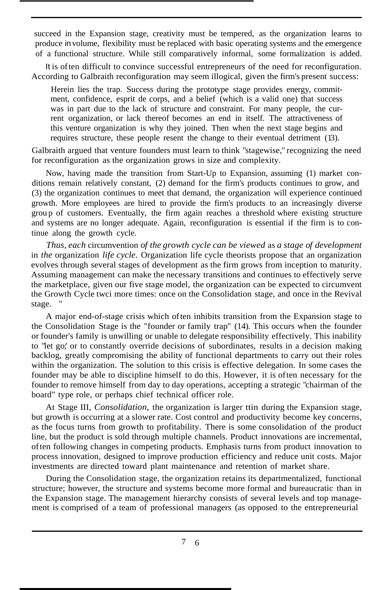succeed in the Expansion stage, creativity must be tempered, as the organization learns to produce involume, flexibility must be replaced with basic operating systems and the emergence of a functional structure. While still comparatively informal, some formalization is added.

It is often difficult to convince successful entrepreneurs of the need for reconfiguration. According to Galbraith reconfiguration may seem illogical, given the firm's present success:

Herein lies the trap. Success during the prototype stage provides energy, commitment, confidence, esprit de corps, and a belief (which is a valid one) that success was in part due to the lack of structure and constraint. For many people, the current organization, or lack thereof becomes an end in itself. The attractiveness of this venture organization is why they joined. Then when the next stage begins and requires structure, these people resent the change to their eventual detriment (13).

Galbraith argued that venture founders must learn to think "stagewise," recognizing the need for reconfiguration as the organization grows in size and complexity.

Now, having made the transition from Start-Up to Expansion, assuming (1) market conditions remain relatively constant, (2) demand for the firm's products continues to grow, and (3) the organization continues to meet that demand, the organization will experience continued growth. More employees are hired to provide the firm's products to an increasingly diverse grou p of customers. Eventually, the firm again reaches a threshold where existing structure and systems are no longer adequate. Again, reconfiguration is essential if the firm is to continue along the growth cycle.

*Thus, each* circumvention *of the growth cycle can be viewed* as *a stage of development* in *the* organization *life cycle.* Organization life cycle theorists propose that an organization evolves through several stages of development as the firm grows from inception to maturity. Assuming management can make the necessary transitions and continues to effectively serve the marketplace, given our five stage model, the organization can be expected to circumvent the Growth Cycle twci more times: once on the Consolidation stage, and once in the Revival stage. "

A major end-of-stage crisis which often inhibits transition from the Expansion stage to the Consolidation Stage is the "founder or family trap'' (14). This occurs when the founder or founder's family is unwilling or unable to delegate responsibility effectively. This inability to "let go;' or to constantly override decisions of subordinates, results in a decision making backlog, greatly compromising the ability of functional departments to carry out their roles within the organization. The solution to this crisis is effective delegation. In some cases the founder may be able to discipline himself to do this. However, it is often necessary for the founder to remove himself from day to day operations, accepting a strategic "chairman of the board" type role, or perhaps chief technical officer role.

At Stage III, *Consolidation,* the organization is larger ttin during the Expansion stage, but growth is occurring at a slower rate. Cost control and productivity become key concerns, as the focus turns from growth to profitability. There is some consolidation of the product line, but the product is sold through multiple channels. Product innovations are incremental, often following changes in competing products. Emphasis turns from product innovation to process innovation, designed to improve production efficiency and reduce unit costs. Major investments are directed toward plant maintenance and retention of market share.

During the Consolidation stage, the organization retains its departmentalized, functional structure; however, the structure and systems become more formal and bureaucratic than in the Expansion stage. The management hierarchy consists of several levels and top management is comprised of a team of professional managers (as opposed to the entrepreneurial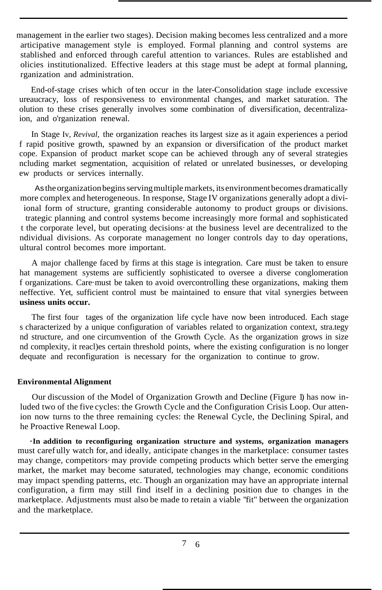management in the earlier two stages). Decision making becomes less centralized and a more articipative management style is employed. Formal planning and control systems are stablished and enforced through careful attention to variances. Rules are established and olicies institutionalized. Effective leaders at this stage must be adept at formal planning, rganization and administration.

End-of-stage crises which often occur in the later-Consolidation stage include excessive ureaucracy, loss of responsiveness to environmental changes, and market saturation. The olution to these crises generally involves some combination of diversification, decentralizaion, and o'rganization renewal.

In Stage Iv, *Revival,* the organization reaches its largest size as it again experiences a period f rapid positive growth, spawned by an expansion or diversification of the product market cope. Expansion of product market scope can be achieved through any of several strategies ncluding market segmentation, acquisition of related or unrelated businesses, or developing ew products or services internally.

As the organization begins serving multiple markets, its environment becomes dramatically more complex and heterogeneous. In response, Stage IV organizations generally adopt a diviional form of structure, granting considerable autonomy to product groups or divisions. trategic planning and control systems become increasingly more formal and sophisticated t the corporate level, but operating decisions· at the business level are decentralized to the ndividual divisions. As corporate management no longer controls day to day operations, ultural control becomes more important.

A major challenge faced by firms at this stage is integration. Care must be taken to ensure hat management systems are sufficiently sophisticated to oversee a diverse conglomeration f organizations. Care·must be taken to avoid overcontrolling these organizations, making them neffective. Yet, sufficient control must be maintained to ensure that vital synergies between **usiness units occur.**

The first four tages of the organization life cycle have now been introduced. Each stage s characterized by a unique configuration of variables related to organization context, stra.tegy nd structure, and one circumvention of the Growth Cycle. As the organization grows in size nd complexity, it reacl)es certain threshold points, where the existing configuration is no longer dequate and reconfiguration is necessary for the organization to continue to grow.

### **Environmental Alignment**

Our discussion of the Model of Organization Growth and Decline (Figure 1) has now inluded two of the five cycles: the Growth Cycle and the Configuration Crisis Loop. Our attenion now turns to the three remaining cycles: the Renewal Cycle, the Declining Spiral, and he Proactive Renewal Loop.

**·In addition to reconfiguring organization structure and systems, organization managers** must caref ully watch for, and ideally, anticipate changes in the marketplace: consumer tastes may change, competitors·may provide competing products which better serve the emerging market, the market may become saturated, technologies may change, economic conditions may impact spending patterns, etc. Though an organization may have an appropriate internal configuration, a firm may still find itself in a declining position due to changes in the marketplace. Adjustments must also be made to retain a viable "fit" between the organization and the marketplace.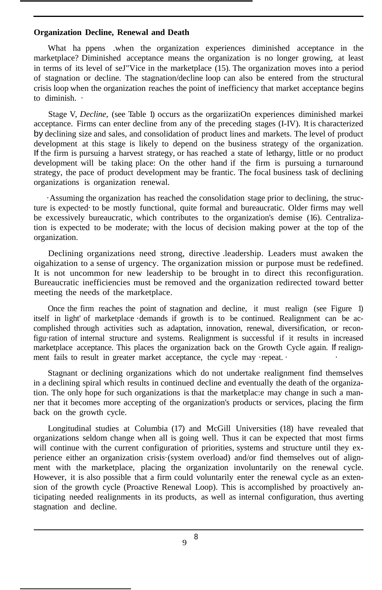### **Organization Decline, Renewal and Death**

What ha ppens .when the organization experiences diminished acceptance in the marketplace? Diminished acceptance means the organization is no longer growing, at least in terms of its level of seJ"Vice in the marketplace (15). The organization moves into a period of stagnation or decline. The stagnation/decline loop can also be entered from the structural crisis loop when the organization reaches the point of inefficiency that market acceptance begins to diminish. ·

Stage V, *Decline,* (see Table 1) occurs as the orgariizatiOn experiences diminished markei acceptance. Firms can enter decline from any of the preceding stages (I-IV). It is characterized by declining size and sales, and consolidation of product lines and markets. The level of product development at this stage is likely to depend on the business strategy of the organization. If the firm is pursuing a harvest strategy, or has reached a state of lethargy, little or no product development will be taking place: On the other hand if the firm is pursuing a turnaround strategy, the pace of product development may be frantic. The focal business task of declining organizations is organization renewal.

·Assuming the organization has reached the consolidation stage prior to declining, the structure is expected· to be mostly functional, quite formal and bureaucratic. Older firms may well be excessively bureaucratic, which contributes to the organization's demise (16). Centralization is expected to be moderate; with the locus of decision making power at the top of the organization.

Declining organizations need strong, directive .leadership. Leaders must awaken the oigahization to a sense of urgency. The organization mission or purpose must be redefined. It is not uncommon for new leadership to be brought in to direct this reconfiguration. Bureaucratic inefficiencies must be removed and the organization redirected toward better meeting the needs of the marketplace.

Once the firm reaches the point of stagnation and decline, it must realign (see Figure 1) itself in light' of marketplace ·demands if growth is to be continued. Realignment can be accomplished through activities such as adaptation, innovation, renewal, diversification, or reconfigu·ration of internal structure and systems. Realignment is successful if it results in increased marketplace acceptance. This places the organization back on the Growth Cycle again. If realignment fails to result in greater market acceptance, the cycle may repeat.  $\cdot$ 

Stagnant or declining organizations which do not undertake realignment find themselves in a declining spiral which results in continued decline and eventually the death of the organization. The only hope for such organizations is that the marketplac: e may change in such a manner that it becomes more accepting of the organization's products or services, placing the firm back on the growth cycle.

Longitudinal studies at Columbia (17) and McGill Universities (18) have revealed that organizations seldom change when all is going well. Thus it can be expected that most firms will continue with the current configuration of priorities, systems and structure until they experience either an organization crisis·(system overload) and/or find themselves out of alignment with the marketplace, placing the organization involuntarily on the renewal cycle. However, it is also possible that a firm could voluntarily enter the renewal cycle as an extension of the growth cycle (Proactive Renewal Loop). This is accomplished by proactively anticipating needed realignments in its products, as well as internal configuration, thus averting stagnation and decline.

 $\overline{Q}$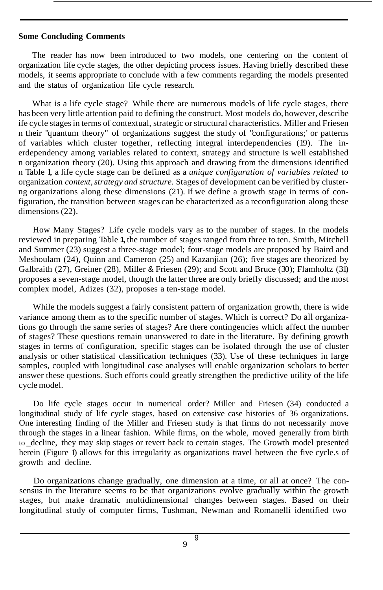### **Some Concluding Comments**

The reader has now been introduced to two models, one centering on the content of organization life cycle stages, the other depicting process issues. Having briefly described these models, it seems appropriate to conclude with a few comments regarding the models presented and the status of organization life cycle research.

What is a life cycle stage? While there are numerous models of life cycle stages, there has been very little attention paid to defining the construct. Most models do, however, describe ife cycle stages in terms of contextual, strategic or structural characteristics. Miller and Friesen n their "quantum theory" of organizations suggest the study of "configurations;' or patterns of variables which cluster together, reflecting integral interdependencies (19). The inerdependency among variables related to context, strategy and structure is well established n organization theory (20). Using this approach and drawing from the dimensions identified n Table 1, a life cycle stage can be defined as a *unique configuration of variables related to* organization *context, strategy and structure*. Stages of development can be verified by clusterng organizations along these dimensions (21). If we define a growth stage in terms of configuration, the transition between stages can be characterized as a reconfiguration along these dimensions (22).

How Many Stages? Life cycle models vary as to the number of stages. In the models reviewed in preparing Table **1,** the number of stages ranged from three to ten. Smith, Mitchell and Summer (23) suggest a three-stage model; four-stage models are proposed by Baird and Meshoulam (24), Quinn and Cameron (25) and Kazanjian (26); five stages are theorized by Galbraith (27), Greiner (28), Miller & Friesen (29); and Scott and Bruce (30); Flamholtz (31) proposes a seven-stage model, though the latter three are only briefly discussed; and the most complex model, Adizes (32), proposes a ten-stage model.

While the models suggest a fairly consistent pattern of organization growth, there is wide variance among them as to the specific number of stages. Which is correct? Do all organizations go through the same series of stages? Are there contingencies which affect the number of stages? These questions remain unanswered to date in the literature. By defining growth stages in terms of configuration, specific stages can be isolated through the use of cluster analysis or other statistical classification techniques (33). Use of these techniques in large samples, coupled with longitudinal case analyses will enable organization scholars to better answer these questions. Such efforts could greatly strengthen the predictive utility of the life cycle model.

Do life cycle stages occur in numerical order? Miller and Friesen (34) conducted a longitudinal study of life cycle stages, based on extensive case histories of 36 organizations. One interesting finding of the Miller and Friesen study is that firms do not necessarily move through the stages in a linear fashion. While firms, on the whole, moved generally from birth to \_decline, they may skip stages or revert back to certain stages. The Growth model presented herein (Figure 1) allows for this irregularity as organizations travel between the five cycle.s of growth and decline.

Do organizations change gradually, one dimension at a time, or all at once? The consensus in the literature seems to be that organizations evolve gradually within the growth stages, but make dramatic multidimensional changes between stages. Based on their longitudinal study of computer firms, Tushman, Newman and Romanelli identified two

9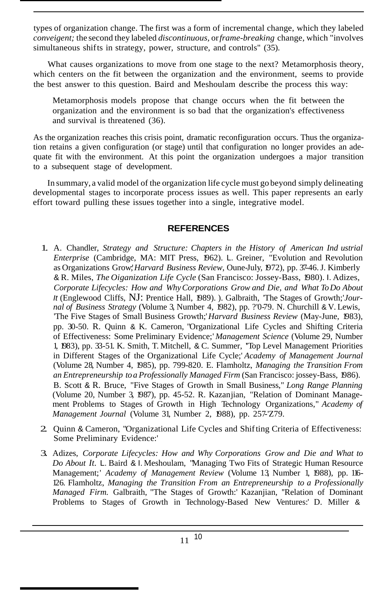types of organization change. The first was a form of incremental change, which they labeled *conveigent;* the second they labeled *discontinuous,* or*frame-breaking* change, which "involves simultaneous shifts in strategy, power, structure, and controls" (35).

What causes organizations to move from one stage to the next? Metamorphosis theory, which centers on the fit between the organization and the environment, seems to provide the best answer to this question. Baird and Meshoulam describe the process this way:

Metamorphosis models propose that change occurs when the fit between the organization and the environment is so bad that the organization's effectiveness and survival is threatened (36).

As the organization reaches this crisis point, dramatic reconfiguration occurs. Thus the organization retains a given configuration (or stage) until that configuration no longer provides an adequate fit with the environment. At this point the organization undergoes a major transition to a subsequent stage of development.

In summary, a valid model of the organization life cycle must go beyond simply delineating developmental stages to incorporate process issues as well. This paper represents an early effort toward pulling these issues together into a single, integrative model.

## **REFERENCES**

- 1. A. Chandler, *Strategy and Structure: Chapters in the History of American Ind ustrial Enterprise* (Cambridge, MA: MIT Press, 1962). L. Greiner, "Evolution and Revolution as Organizations Grow;'*Harvard Business Review,* Oune-July, 1972), pp. 37-46.J. Kimberly & R. Miles, *The Oiganization Life Cycle* (San Francisco: Jossey-Bass, 1980). I. Adizes, *Corporate Lifecycles: How and WhyCorporations Grow and Die, and What ToDo About It* (Englewood Cliffs, NJ: Prentice Hall, 1989). ). Galbraith, 'The Stages of Growth;'*Journal of Business Strategy* (Volume 3, Number 4, 1982), pp. ?'0-79. N. Churchill & V. Lewis, 'The Five Stages of Small Business Growth;'*Harvard Business Review* (May-June, 1983), pp. 30-50. R. Quinn & K. Cameron, "Organizational Life Cycles and Shifting Criteria of Effectiveness: Some Preliminary Evidence;' *Management Science* (Volume 29, Number 1, 1983), pp. 33-51. K. Smith, T. Mitchell, & C. Summer, ''Top Level Management Priorities in Different Stages of the Organizational Life Cycle;' *Academy of Management Journal* (Volume 28, Number 4, 1985), pp. 799-820. E. Flamholtz, *Managing the Transition From an Entrepreneurship toa Professionally Managed Firm* (San Francisco: jossey-Bass, 1986). B. Scott & R. Bruce, "Five Stages of Growth in Small Business," *Long Range Planning* (Volume 20, Number 3, 1987), pp. 45-52. R. Kazanjian, "Relation of Dominant Management Problems to Stages of Growth in High Technology Organizations," *Academy of Management Journal* (Volume 31, Number 2, 1988), pp. 257-'Z79.
- 2. Quinn & Cameron, "Organizational Life Cycles and Shifting Criteria of Effectiveness: Some Preliminary Evidence:'
- 3. Adizes, *Corporate Lifecycles: How and Why Corporations Grow and Die and What to Do About It.* L. Baird & I. Meshoulam, "Managing Two Fits of Strategic Human Resource Management;' *Academy of Management Review* (Volume 13, Number 1, 1988), pp. 116-126. Flamholtz, *Managing the Transition From an Entrepreneurship to a Professionally Managed Firm.* Galbraith, "The Stages of Growth:' Kazanjian, ''Relation of Dominant Problems to Stages of Growth in Technology-Based New Ventures:' D. Miller &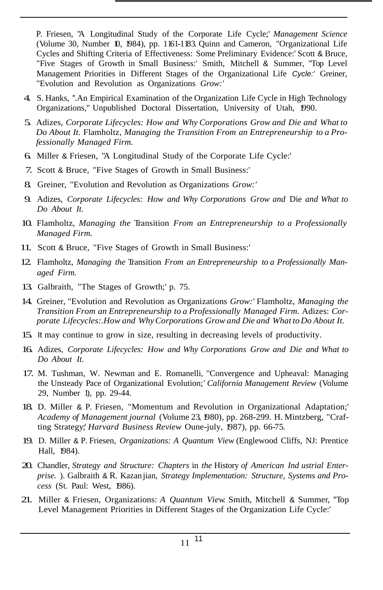P. Friesen, "A Longitudinal Study of the Corporate Life Cycle;' *Management Science* (Volume 30, Number 10, 1984), pp. 1161-1183. Quinn and Cameron, "Organizational Life Cycles and Shifting Criteria of Effectiveness: Some Preliminary Evidence:' Scott & Bruce, "Five Stages of Growth in Small Business:' Smith, Mitchell & Summer, "Top Level Management Priorities in Different Stages of the Organizational Life *Cycle:'* Greiner, "Evolution and Revolution as Organizations *Grow:'*

- 4. S. Hanks, ''.An Empirical Examination of the Organization Life Cycle in High Technology Organizations," Unpublished Doctoral Dissertation, University of Utah, 1990.
- 5. Adizes, *Corporate Lifecycles: How and Why Corporations Grow and Die and What to Do About It.* Flamholtz, *Managing the Transition From an Entrepreneurship to a Professionally Managed Firm.*
- 6. Miller & Friesen, "A Longitudinal Study of the Corporate Life Cycle:'
- 7. Scott & Bruce, "Five Stages of Growth in Small Business:'
- 8. Greiner, "Evolution and Revolution as Organizations *Grow:'*
- 9. Adizes, *Corporate Lifecycles: How and Why Corporations Grow and* Die *and What to Do About It.*
- 10. Flamholtz, *Managing the* Transition *From an Entrepreneurship to a Professionally Managed Firm.*
- 11. Scott & Bruce, "Five Stages of Growth in Small Business:'
- 12. Flamholtz, *Managing the* Transition *From an Entrepreneurship to a Professionally Managed Firm.*
- 13. Galbraith, "The Stages of Growth;' p. 75.
- 14. Greiner, "Evolution and Revolution as Organizations *Grow:'* Flamholtz, *Managing the Transition From an Entrepreneurship to a Professionally Managed Firm.* Adizes: *Corporate Lifecycles:.How and WhyCorporations Grow and Die and What toDo About It.*
- 15. It may continue to grow in size, resulting in decreasing levels of productivity.
- 16. Adizes, *Corporate Lifecycles: How and Why Corporations Grow and Die and What to Do About It.*
- 17. M. Tushman, W. Newman and E. Romanelli, "Convergence and Upheaval: Managing the Unsteady Pace of Organizational Evolution;' *California Management Review* (Volume 29, Number 1), pp. 29-44.
- 18. D. Miller & P. Friesen, "Momentum and Revolution in Organizational Adaptation;' *Academy of Management journal* (Volume 23, 1980), pp. 268-299. H. Mintzberg, "Crafting Strategy;' *Harvard Business Review* Oune-july, 1987), pp. 66-75.
- 19. D. Miller & P. Friesen, *Organizations: A Quantum View* (Englewood Cliffs, NJ: Prentice Hall, 1984).
- 20. Chandler, *Strategy and Structure: Chapters* in *the* History *of American Ind ustrial Enterprise.* ). Galbraith & R. Kazan jian, *Strategy Implementation: Structure, Systems and Process* (St. Paul: West, 1986).
- 21. Miller & Friesen, Organizations: *A Quantum View.* Smith, Mitchell & Summer, ''Top Level Management Priorities in Different Stages of the Organization Life Cycle:'